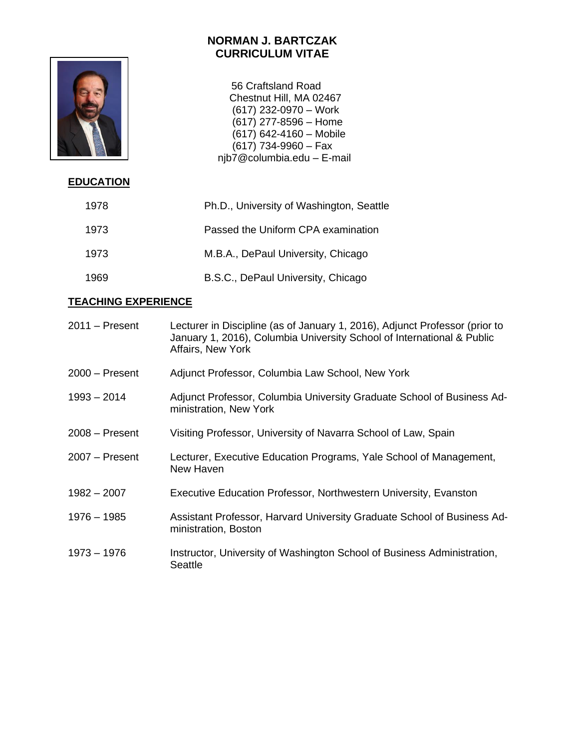

 56 Craftsland Road Chestnut Hill, MA 02467 (617) 232-0970 – Work  $(617)$  277-8596 – Home  $(617)$  642-4160 – Mobile (617) 734-9960 – Fax njb7@columbia.edu – E-mail

# **EDUCATION**

| 1978 | Ph.D., University of Washington, Seattle |
|------|------------------------------------------|
| 1973 | Passed the Uniform CPA examination       |
| 1973 | M.B.A., DePaul University, Chicago       |
| 1969 | B.S.C., DePaul University, Chicago       |

# **TEACHING EXPERIENCE**

| $2011 -$ Present | Lecturer in Discipline (as of January 1, 2016), Adjunct Professor (prior to<br>January 1, 2016), Columbia University School of International & Public<br>Affairs, New York |
|------------------|----------------------------------------------------------------------------------------------------------------------------------------------------------------------------|
| $2000 -$ Present | Adjunct Professor, Columbia Law School, New York                                                                                                                           |
| $1993 - 2014$    | Adjunct Professor, Columbia University Graduate School of Business Ad-<br>ministration, New York                                                                           |
| $2008 -$ Present | Visiting Professor, University of Navarra School of Law, Spain                                                                                                             |
| $2007 -$ Present | Lecturer, Executive Education Programs, Yale School of Management,<br>New Haven                                                                                            |
| $1982 - 2007$    | Executive Education Professor, Northwestern University, Evanston                                                                                                           |
| $1976 - 1985$    | Assistant Professor, Harvard University Graduate School of Business Ad-<br>ministration, Boston                                                                            |
| $1973 - 1976$    | Instructor, University of Washington School of Business Administration,<br><b>Seattle</b>                                                                                  |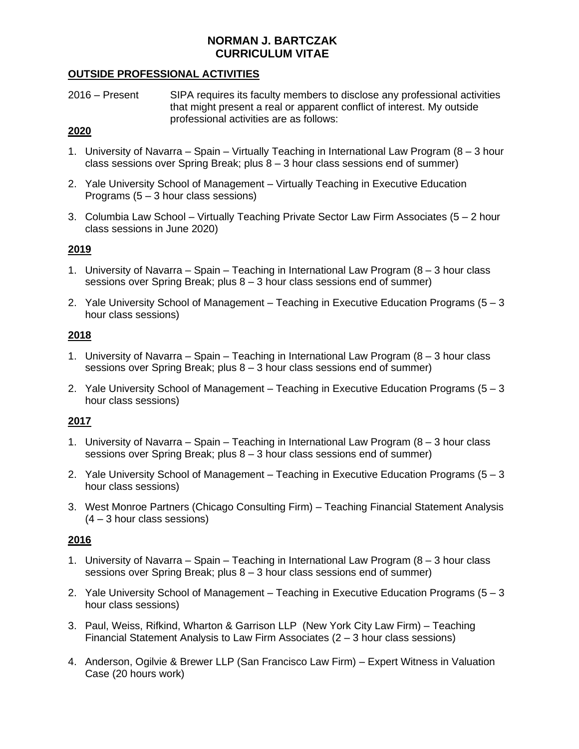## **OUTSIDE PROFESSIONAL ACTIVITIES**

2016 – Present SIPA requires its faculty members to disclose any professional activities that might present a real or apparent conflict of interest. My outside professional activities are as follows:

## **2020**

- 1. University of Navarra Spain Virtually Teaching in International Law Program (8 3 hour class sessions over Spring Break; plus  $8 - 3$  hour class sessions end of summer)
- 2. Yale University School of Management Virtually Teaching in Executive Education Programs  $(5 - 3$  hour class sessions)
- 3. Columbia Law School Virtually Teaching Private Sector Law Firm Associates (5 2 hour class sessions in June 2020)

# **2019**

- 1. University of Navarra Spain Teaching in International Law Program (8 3 hour class sessions over Spring Break; plus 8 – 3 hour class sessions end of summer)
- 2. Yale University School of Management Teaching in Executive Education Programs  $(5 3)$ hour class sessions)

# **2018**

- 1. University of Navarra Spain Teaching in International Law Program (8 3 hour class sessions over Spring Break; plus 8 – 3 hour class sessions end of summer)
- 2. Yale University School of Management Teaching in Executive Education Programs  $(5 3)$ hour class sessions)

# **2017**

- 1. University of Navarra Spain Teaching in International Law Program (8 3 hour class sessions over Spring Break; plus 8 – 3 hour class sessions end of summer)
- 2. Yale University School of Management Teaching in Executive Education Programs  $(5 3)$ hour class sessions)
- 3. West Monroe Partners (Chicago Consulting Firm) Teaching Financial Statement Analysis (4 – 3 hour class sessions)

## **2016**

- 1. University of Navarra Spain Teaching in International Law Program (8 3 hour class sessions over Spring Break; plus 8 – 3 hour class sessions end of summer)
- 2. Yale University School of Management Teaching in Executive Education Programs  $(5 3)$ hour class sessions)
- 3. Paul, Weiss, Rifkind, Wharton & Garrison LLP (New York City Law Firm) Teaching Financial Statement Analysis to Law Firm Associates (2 – 3 hour class sessions)
- 4. Anderson, Ogilvie & Brewer LLP (San Francisco Law Firm) Expert Witness in Valuation Case (20 hours work)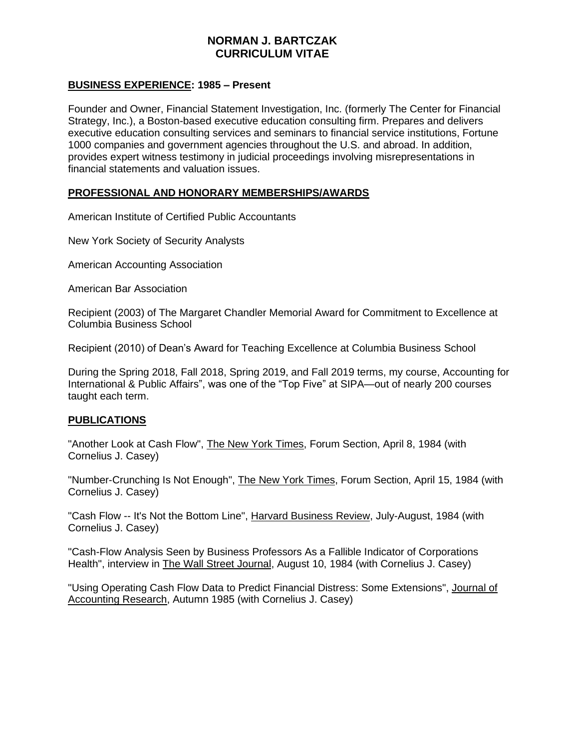## **BUSINESS EXPERIENCE: 1985 – Present**

Founder and Owner, Financial Statement Investigation, Inc. (formerly The Center for Financial Strategy, Inc.), a Boston-based executive education consulting firm. Prepares and delivers executive education consulting services and seminars to financial service institutions, Fortune 1000 companies and government agencies throughout the U.S. and abroad. In addition, provides expert witness testimony in judicial proceedings involving misrepresentations in financial statements and valuation issues.

## **PROFESSIONAL AND HONORARY MEMBERSHIPS/AWARDS**

American Institute of Certified Public Accountants

New York Society of Security Analysts

American Accounting Association

American Bar Association

Recipient (2003) of The Margaret Chandler Memorial Award for Commitment to Excellence at Columbia Business School

Recipient (2010) of Dean's Award for Teaching Excellence at Columbia Business School

During the Spring 2018, Fall 2018, Spring 2019, and Fall 2019 terms, my course, Accounting for International & Public Affairs", was one of the "Top Five" at SIPA—out of nearly 200 courses taught each term.

## **PUBLICATIONS**

"Another Look at Cash Flow", The New York Times, Forum Section, April 8, 1984 (with Cornelius J. Casey)

"Number-Crunching Is Not Enough", The New York Times, Forum Section, April 15, 1984 (with Cornelius J. Casey)

"Cash Flow -- It's Not the Bottom Line", Harvard Business Review, July-August, 1984 (with Cornelius J. Casey)

"Cash-Flow Analysis Seen by Business Professors As a Fallible Indicator of Corporations Health", interview in The Wall Street Journal, August 10, 1984 (with Cornelius J. Casey)

"Using Operating Cash Flow Data to Predict Financial Distress: Some Extensions", Journal of Accounting Research, Autumn 1985 (with Cornelius J. Casey)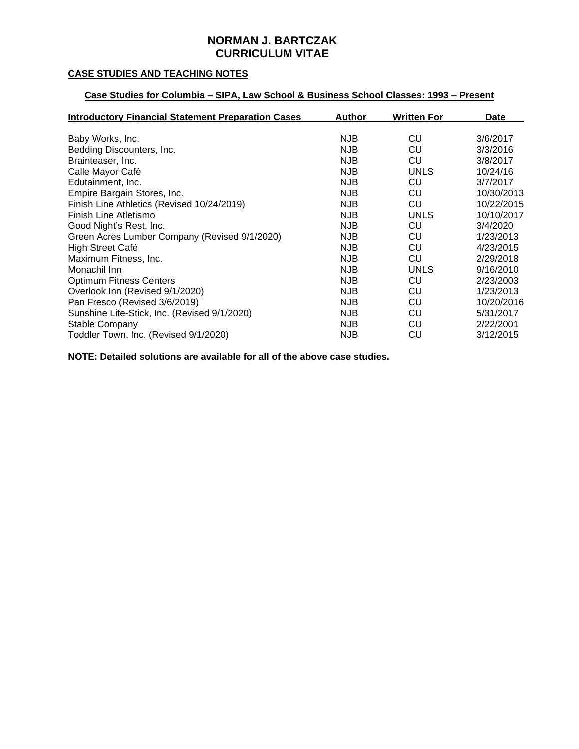## **CASE STUDIES AND TEACHING NOTES**

# **Case Studies for Columbia – SIPA, Law School & Business School Classes: 1993 – Present**

| <b>Introductory Financial Statement Preparation Cases</b> | <b>Author</b> | <b>Written For</b> | Date       |
|-----------------------------------------------------------|---------------|--------------------|------------|
|                                                           |               |                    |            |
| Baby Works, Inc.                                          | <b>NJB</b>    | CU                 | 3/6/2017   |
| Bedding Discounters, Inc.                                 | <b>NJB</b>    | CU                 | 3/3/2016   |
| Brainteaser, Inc.                                         | NJB           | CU                 | 3/8/2017   |
| Calle Mayor Café                                          | <b>NJB</b>    | UNLS               | 10/24/16   |
| Edutainment, Inc.                                         | <b>NJB</b>    | CU                 | 3/7/2017   |
| Empire Bargain Stores, Inc.                               | <b>NJB</b>    | CU                 | 10/30/2013 |
| Finish Line Athletics (Revised 10/24/2019)                | NJB           | CU                 | 10/22/2015 |
| Finish Line Atletismo                                     | <b>NJB</b>    | UNLS               | 10/10/2017 |
| Good Night's Rest, Inc.                                   | <b>NJB</b>    | CU                 | 3/4/2020   |
| Green Acres Lumber Company (Revised 9/1/2020)             | <b>NJB</b>    | CU                 | 1/23/2013  |
| High Street Café                                          | <b>NJB</b>    | CU                 | 4/23/2015  |
| Maximum Fitness, Inc.                                     | <b>NJB</b>    | CU                 | 2/29/2018  |
| Monachil Inn                                              | <b>NJB</b>    | UNLS               | 9/16/2010  |
| <b>Optimum Fitness Centers</b>                            | NJB           | CU                 | 2/23/2003  |
| Overlook Inn (Revised 9/1/2020)                           | <b>NJB</b>    | CU                 | 1/23/2013  |
| Pan Fresco (Revised 3/6/2019)                             | <b>NJB</b>    | CU                 | 10/20/2016 |
| Sunshine Lite-Stick, Inc. (Revised 9/1/2020)              | <b>NJB</b>    | CU                 | 5/31/2017  |
| Stable Company                                            | <b>NJB</b>    | CU                 | 2/22/2001  |
| Toddler Town, Inc. (Revised 9/1/2020)                     | <b>NJB</b>    | CU                 | 3/12/2015  |

**NOTE: Detailed solutions are available for all of the above case studies.**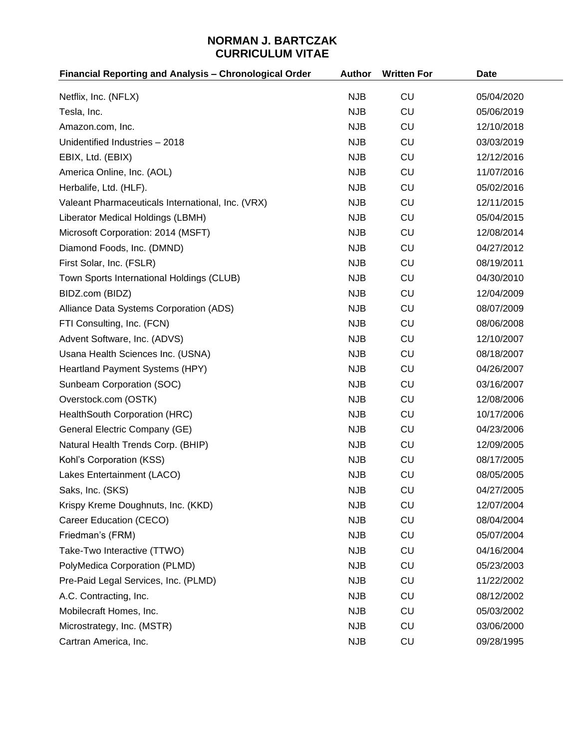| Financial Reporting and Analysis - Chronological Order | <b>Author</b> | <b>Written For</b> | <b>Date</b> |
|--------------------------------------------------------|---------------|--------------------|-------------|
| Netflix, Inc. (NFLX)                                   | <b>NJB</b>    | <b>CU</b>          | 05/04/2020  |
| Tesla, Inc.                                            | <b>NJB</b>    | <b>CU</b>          | 05/06/2019  |
| Amazon.com, Inc.                                       | <b>NJB</b>    | CU                 | 12/10/2018  |
| Unidentified Industries - 2018                         | <b>NJB</b>    | <b>CU</b>          | 03/03/2019  |
| EBIX, Ltd. (EBIX)                                      | <b>NJB</b>    | CU                 | 12/12/2016  |
| America Online, Inc. (AOL)                             | <b>NJB</b>    | <b>CU</b>          | 11/07/2016  |
| Herbalife, Ltd. (HLF).                                 | <b>NJB</b>    | <b>CU</b>          | 05/02/2016  |
| Valeant Pharmaceuticals International, Inc. (VRX)      | <b>NJB</b>    | CU                 | 12/11/2015  |
| Liberator Medical Holdings (LBMH)                      | <b>NJB</b>    | <b>CU</b>          | 05/04/2015  |
| Microsoft Corporation: 2014 (MSFT)                     | <b>NJB</b>    | <b>CU</b>          | 12/08/2014  |
| Diamond Foods, Inc. (DMND)                             | <b>NJB</b>    | CU                 | 04/27/2012  |
| First Solar, Inc. (FSLR)                               | <b>NJB</b>    | <b>CU</b>          | 08/19/2011  |
| Town Sports International Holdings (CLUB)              | <b>NJB</b>    | <b>CU</b>          | 04/30/2010  |
| BIDZ.com (BIDZ)                                        | <b>NJB</b>    | CU                 | 12/04/2009  |
| Alliance Data Systems Corporation (ADS)                | <b>NJB</b>    | <b>CU</b>          | 08/07/2009  |
| FTI Consulting, Inc. (FCN)                             | <b>NJB</b>    | <b>CU</b>          | 08/06/2008  |
| Advent Software, Inc. (ADVS)                           | <b>NJB</b>    | CU                 | 12/10/2007  |
| Usana Health Sciences Inc. (USNA)                      | <b>NJB</b>    | <b>CU</b>          | 08/18/2007  |
| Heartland Payment Systems (HPY)                        | <b>NJB</b>    | <b>CU</b>          | 04/26/2007  |
| Sunbeam Corporation (SOC)                              | <b>NJB</b>    | CU                 | 03/16/2007  |
| Overstock.com (OSTK)                                   | <b>NJB</b>    | <b>CU</b>          | 12/08/2006  |
| HealthSouth Corporation (HRC)                          | <b>NJB</b>    | <b>CU</b>          | 10/17/2006  |
| General Electric Company (GE)                          | <b>NJB</b>    | CU                 | 04/23/2006  |
| Natural Health Trends Corp. (BHIP)                     | <b>NJB</b>    | CU                 | 12/09/2005  |
| Kohl's Corporation (KSS)                               | <b>NJB</b>    | CU                 | 08/17/2005  |
| Lakes Entertainment (LACO)                             | <b>NJB</b>    | <b>CU</b>          | 08/05/2005  |
| Saks, Inc. (SKS)                                       | <b>NJB</b>    | CU                 | 04/27/2005  |
| Krispy Kreme Doughnuts, Inc. (KKD)                     | <b>NJB</b>    | <b>CU</b>          | 12/07/2004  |
| Career Education (CECO)                                | <b>NJB</b>    | <b>CU</b>          | 08/04/2004  |
| Friedman's (FRM)                                       | <b>NJB</b>    | <b>CU</b>          | 05/07/2004  |
| Take-Two Interactive (TTWO)                            | <b>NJB</b>    | <b>CU</b>          | 04/16/2004  |
| PolyMedica Corporation (PLMD)                          | <b>NJB</b>    | <b>CU</b>          | 05/23/2003  |
| Pre-Paid Legal Services, Inc. (PLMD)                   | <b>NJB</b>    | <b>CU</b>          | 11/22/2002  |
| A.C. Contracting, Inc.                                 | <b>NJB</b>    | <b>CU</b>          | 08/12/2002  |
| Mobilecraft Homes, Inc.                                | <b>NJB</b>    | <b>CU</b>          | 05/03/2002  |
| Microstrategy, Inc. (MSTR)                             | <b>NJB</b>    | <b>CU</b>          | 03/06/2000  |
| Cartran America, Inc.                                  | <b>NJB</b>    | CU                 | 09/28/1995  |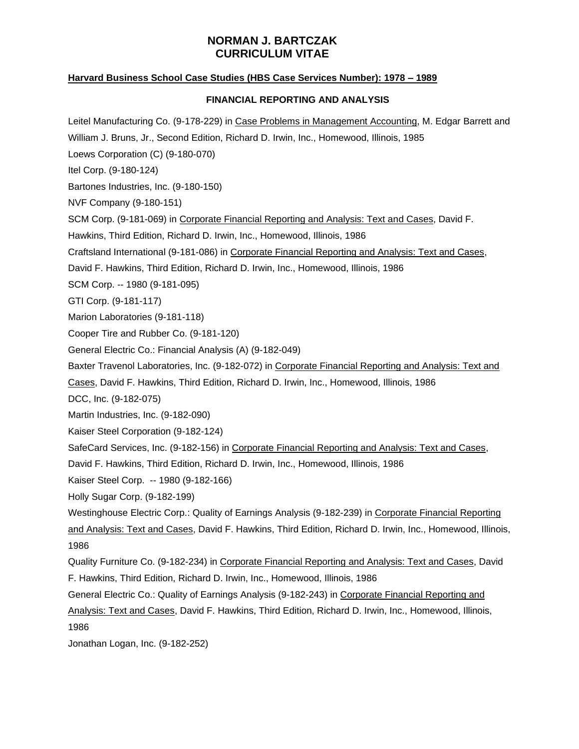## **Harvard Business School Case Studies (HBS Case Services Number): 1978 – 1989**

## **FINANCIAL REPORTING AND ANALYSIS**

Leitel Manufacturing Co. (9-178-229) in Case Problems in Management Accounting, M. Edgar Barrett and William J. Bruns, Jr., Second Edition, Richard D. Irwin, Inc., Homewood, Illinois, 1985 Loews Corporation (C) (9-180-070) Itel Corp. (9-180-124) Bartones Industries, Inc. (9-180-150) NVF Company (9-180-151) SCM Corp. (9-181-069) in Corporate Financial Reporting and Analysis: Text and Cases, David F. Hawkins, Third Edition, Richard D. Irwin, Inc., Homewood, Illinois, 1986 Craftsland International (9-181-086) in Corporate Financial Reporting and Analysis: Text and Cases, David F. Hawkins, Third Edition, Richard D. Irwin, Inc., Homewood, Illinois, 1986 SCM Corp. -- 1980 (9-181-095) GTI Corp. (9-181-117) Marion Laboratories (9-181-118) Cooper Tire and Rubber Co. (9-181-120) General Electric Co.: Financial Analysis (A) (9-182-049) Baxter Travenol Laboratories, Inc. (9-182-072) in Corporate Financial Reporting and Analysis: Text and Cases, David F. Hawkins, Third Edition, Richard D. Irwin, Inc., Homewood, Illinois, 1986 DCC, Inc. (9-182-075) Martin Industries, Inc. (9-182-090) Kaiser Steel Corporation (9-182-124) SafeCard Services, Inc. (9-182-156) in Corporate Financial Reporting and Analysis: Text and Cases, David F. Hawkins, Third Edition, Richard D. Irwin, Inc., Homewood, Illinois, 1986 Kaiser Steel Corp. -- 1980 (9-182-166) Holly Sugar Corp. (9-182-199) Westinghouse Electric Corp.: Quality of Earnings Analysis (9-182-239) in Corporate Financial Reporting and Analysis: Text and Cases, David F. Hawkins, Third Edition, Richard D. Irwin, Inc., Homewood, Illinois, 1986 Quality Furniture Co. (9-182-234) in Corporate Financial Reporting and Analysis: Text and Cases, David F. Hawkins, Third Edition, Richard D. Irwin, Inc., Homewood, Illinois, 1986 General Electric Co.: Quality of Earnings Analysis (9-182-243) in Corporate Financial Reporting and Analysis: Text and Cases, David F. Hawkins, Third Edition, Richard D. Irwin, Inc., Homewood, Illinois, 1986 Jonathan Logan, Inc. (9-182-252)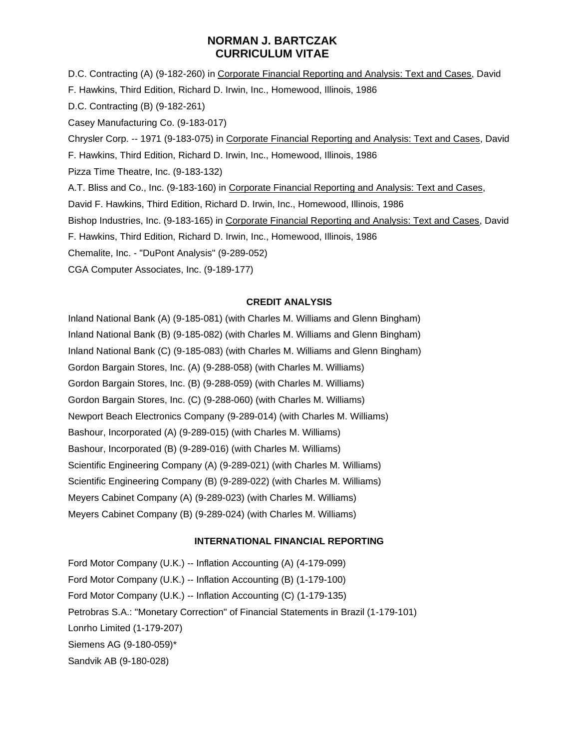D.C. Contracting (A) (9-182-260) in Corporate Financial Reporting and Analysis: Text and Cases, David F. Hawkins, Third Edition, Richard D. Irwin, Inc., Homewood, Illinois, 1986 D.C. Contracting (B) (9-182-261) Casey Manufacturing Co. (9-183-017) Chrysler Corp. -- 1971 (9-183-075) in Corporate Financial Reporting and Analysis: Text and Cases, David F. Hawkins, Third Edition, Richard D. Irwin, Inc., Homewood, Illinois, 1986 Pizza Time Theatre, Inc. (9-183-132) A.T. Bliss and Co., Inc. (9-183-160) in Corporate Financial Reporting and Analysis: Text and Cases, David F. Hawkins, Third Edition, Richard D. Irwin, Inc., Homewood, Illinois, 1986 Bishop Industries, Inc. (9-183-165) in Corporate Financial Reporting and Analysis: Text and Cases, David F. Hawkins, Third Edition, Richard D. Irwin, Inc., Homewood, Illinois, 1986 Chemalite, Inc. - "DuPont Analysis" (9-289-052) CGA Computer Associates, Inc. (9-189-177)

#### **CREDIT ANALYSIS**

Inland National Bank (A) (9-185-081) (with Charles M. Williams and Glenn Bingham) Inland National Bank (B) (9-185-082) (with Charles M. Williams and Glenn Bingham) Inland National Bank (C) (9-185-083) (with Charles M. Williams and Glenn Bingham) Gordon Bargain Stores, Inc. (A) (9-288-058) (with Charles M. Williams) Gordon Bargain Stores, Inc. (B) (9-288-059) (with Charles M. Williams) Gordon Bargain Stores, Inc. (C) (9-288-060) (with Charles M. Williams) Newport Beach Electronics Company (9-289-014) (with Charles M. Williams) Bashour, Incorporated (A) (9-289-015) (with Charles M. Williams) Bashour, Incorporated (B) (9-289-016) (with Charles M. Williams) Scientific Engineering Company (A) (9-289-021) (with Charles M. Williams) Scientific Engineering Company (B) (9-289-022) (with Charles M. Williams) Meyers Cabinet Company (A) (9-289-023) (with Charles M. Williams) Meyers Cabinet Company (B) (9-289-024) (with Charles M. Williams)

#### **INTERNATIONAL FINANCIAL REPORTING**

Ford Motor Company (U.K.) -- Inflation Accounting (A) (4-179-099) Ford Motor Company (U.K.) -- Inflation Accounting (B) (1-179-100) Ford Motor Company (U.K.) -- Inflation Accounting (C) (1-179-135) Petrobras S.A.: "Monetary Correction" of Financial Statements in Brazil (1-179-101) Lonrho Limited (1-179-207) Siemens AG (9-180-059)\* Sandvik AB (9-180-028)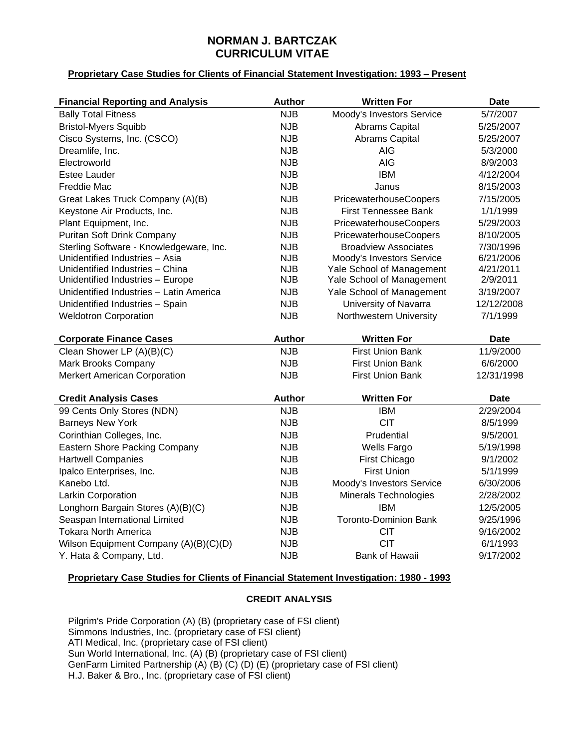## **Proprietary Case Studies for Clients of Financial Statement Investigation: 1993 – Present**

| <b>Financial Reporting and Analysis</b> | <b>Author</b> | <b>Written For</b>           | <b>Date</b> |
|-----------------------------------------|---------------|------------------------------|-------------|
| <b>Bally Total Fitness</b>              | <b>NJB</b>    | Moody's Investors Service    | 5/7/2007    |
| <b>Bristol-Myers Squibb</b>             | <b>NJB</b>    | Abrams Capital               | 5/25/2007   |
| Cisco Systems, Inc. (CSCO)              | <b>NJB</b>    | Abrams Capital               | 5/25/2007   |
| Dreamlife, Inc.                         | <b>NJB</b>    | <b>AIG</b>                   | 5/3/2000    |
| Electroworld                            | <b>NJB</b>    | <b>AIG</b>                   | 8/9/2003    |
| <b>Estee Lauder</b>                     | <b>NJB</b>    | <b>IBM</b>                   | 4/12/2004   |
| Freddie Mac                             | <b>NJB</b>    | Janus                        | 8/15/2003   |
| Great Lakes Truck Company (A)(B)        | <b>NJB</b>    | PricewaterhouseCoopers       | 7/15/2005   |
| Keystone Air Products, Inc.             | <b>NJB</b>    | First Tennessee Bank         | 1/1/1999    |
| Plant Equipment, Inc.                   | <b>NJB</b>    | PricewaterhouseCoopers       | 5/29/2003   |
| Puritan Soft Drink Company              | <b>NJB</b>    | PricewaterhouseCoopers       | 8/10/2005   |
| Sterling Software - Knowledgeware, Inc. | <b>NJB</b>    | <b>Broadview Associates</b>  | 7/30/1996   |
| Unidentified Industries - Asia          | <b>NJB</b>    | Moody's Investors Service    | 6/21/2006   |
| Unidentified Industries - China         | <b>NJB</b>    | Yale School of Management    | 4/21/2011   |
| Unidentified Industries - Europe        | <b>NJB</b>    | Yale School of Management    | 2/9/2011    |
| Unidentified Industries - Latin America | <b>NJB</b>    | Yale School of Management    | 3/19/2007   |
| Unidentified Industries - Spain         | <b>NJB</b>    | University of Navarra        | 12/12/2008  |
| <b>Weldotron Corporation</b>            | <b>NJB</b>    | Northwestern University      | 7/1/1999    |
|                                         |               | <b>Written For</b>           |             |
| <b>Corporate Finance Cases</b>          | <b>Author</b> |                              | <b>Date</b> |
| Clean Shower LP (A)(B)(C)               | <b>NJB</b>    | <b>First Union Bank</b>      | 11/9/2000   |
| Mark Brooks Company                     | <b>NJB</b>    | <b>First Union Bank</b>      | 6/6/2000    |
| <b>Merkert American Corporation</b>     | <b>NJB</b>    | <b>First Union Bank</b>      | 12/31/1998  |
| <b>Credit Analysis Cases</b>            | <b>Author</b> | <b>Written For</b>           | <b>Date</b> |
| 99 Cents Only Stores (NDN)              | <b>NJB</b>    | <b>IBM</b>                   | 2/29/2004   |
| <b>Barneys New York</b>                 | <b>NJB</b>    | <b>CIT</b>                   | 8/5/1999    |
| Corinthian Colleges, Inc.               | <b>NJB</b>    | Prudential                   | 9/5/2001    |
| Eastern Shore Packing Company           | <b>NJB</b>    | <b>Wells Fargo</b>           | 5/19/1998   |
| <b>Hartwell Companies</b>               | <b>NJB</b>    | <b>First Chicago</b>         | 9/1/2002    |
| Ipalco Enterprises, Inc.                | <b>NJB</b>    | <b>First Union</b>           | 5/1/1999    |
| Kanebo Ltd.                             | <b>NJB</b>    | Moody's Investors Service    | 6/30/2006   |
| Larkin Corporation                      | <b>NJB</b>    | Minerals Technologies        | 2/28/2002   |
| Longhorn Bargain Stores (A)(B)(C)       | <b>NJB</b>    | <b>IBM</b>                   | 12/5/2005   |
| Seaspan International Limited           | <b>NJB</b>    | <b>Toronto-Dominion Bank</b> | 9/25/1996   |
| <b>Tokara North America</b>             | <b>NJB</b>    | <b>CIT</b>                   | 9/16/2002   |
| Wilson Equipment Company (A)(B)(C)(D)   | <b>NJB</b>    | <b>CIT</b>                   | 6/1/1993    |

## **Proprietary Case Studies for Clients of Financial Statement Investigation: 1980 - 1993**

#### **CREDIT ANALYSIS**

Pilgrim's Pride Corporation (A) (B) (proprietary case of FSI client) Simmons Industries, Inc. (proprietary case of FSI client) ATI Medical, Inc. (proprietary case of FSI client) Sun World International, Inc. (A) (B) (proprietary case of FSI client) GenFarm Limited Partnership (A) (B) (C) (D) (E) (proprietary case of FSI client) H.J. Baker & Bro., Inc. (proprietary case of FSI client)